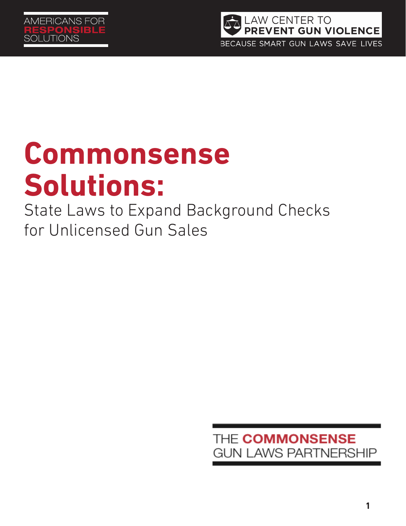

# **Commonsense Solutions:**

State Laws to Expand Background Checks for Unlicensed Gun Sales

> THE COMMONSENSE **GUN LAWS PARTNERSHIP**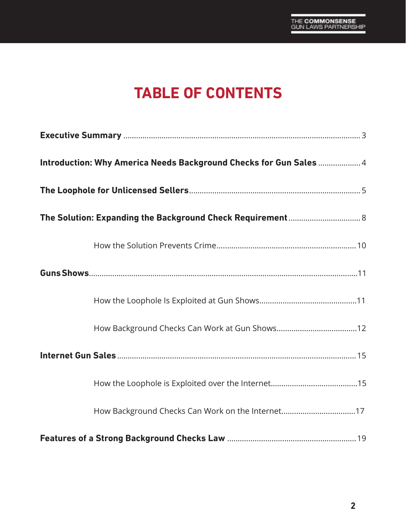# **TABLE OF CONTENTS**

| Introduction: Why America Needs Background Checks for Gun Sales  4 |
|--------------------------------------------------------------------|
|                                                                    |
|                                                                    |
|                                                                    |
|                                                                    |
|                                                                    |
|                                                                    |
|                                                                    |
|                                                                    |
|                                                                    |
|                                                                    |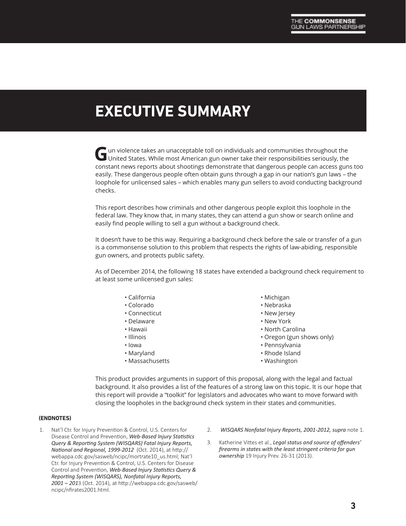# **EXECUTIVE SUMMARY**

Gun violence takes an unacceptable toll on individuals and communities throughout the United States. While most American gun owner take their responsibilities seriously, the constant news reports about shootings demonstrate that dangerous people can access guns too easily. These dangerous people often obtain guns through a gap in our nation's gun laws – the loophole for unlicensed sales – which enables many gun sellers to avoid conducting background checks.

This report describes how criminals and other dangerous people exploit this loophole in the federal law. They know that, in many states, they can attend a gun show or search online and easily find people willing to sell a gun without a background check.

It doesn't have to be this way. Requiring a background check before the sale or transfer of a gun is a commonsense solution to this problem that respects the rights of law-abiding, responsible gun owners, and protects public safety.

As of December 2014, the following 18 states have extended a background check requirement to at least some unlicensed gun sales:

- California
- Colorado
- Connecticut
- Delaware
- Hawaii
- Illinois
- Iowa
- Maryland
- Massachusetts
- Michigan
- Nebraska
- New Jersey
- New York
- North Carolina
- Oregon (gun shows only)
- Pennsylvania
- Rhode Island
- Washington

This product provides arguments in support of this proposal, along with the legal and factual background. It also provides a list of the features of a strong law on this topic. It is our hope that this report will provide a "toolkit" for legislators and advocates who want to move forward with closing the loopholes in the background check system in their states and communities.

#### **(ENDNOTES)**

- 1. Nat'l Ctr. for Injury Prevention & Control, U.S. Centers for Disease Control and Prevention, *Web-Based Injury Statistics Query & Reporting System (WISQARS) Fatal Injury Reports, National and Regional, 1999-2012* (Oct. 2014), at http:// webappa.cdc.gov/sasweb/ncipc/mortrate10\_us.html; Nat'l Ctr. for Injury Prevention & Control, U.S. Centers for Disease Control and Prevention, *Web-Based Injury Statistics Query & Reporting System (WISQARS), Nonfatal Injury Reports, 2001 – 201*3 (Oct. 2014), at http://webappa.cdc.gov/sasweb/ ncipc/nfirates2001.html.
- 2. *WISQARS Nonfatal Injury Reports, 2001-2012, supra* note 1.
- 3. Katherine Vittes et al., *Legal status and source of offenders' firearms in states with the least stringent criteria for gun ownership* 19 Injury Prev. 26-31 (2013).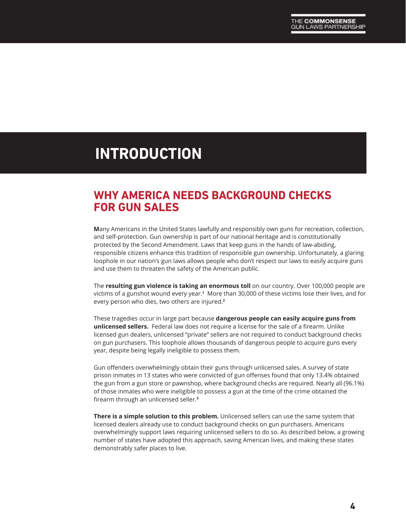# **INTRODUCTION**

### **WHY AMERICA NEEDS BACKGROUND CHECKS FOR GUN SALES**

**M**any Americans in the United States lawfully and responsibly own guns for recreation, collection, and self-protection. Gun ownership is part of our national heritage and is constitutionally protected by the Second Amendment. Laws that keep guns in the hands of law-abiding, responsible citizens enhance this tradition of responsible gun ownership. Unfortunately, a glaring loophole in our nation's gun laws allows people who don't respect our laws to easily acquire guns and use them to threaten the safety of the American public.

The **resulting gun violence is taking an enormous toll** on our country. Over 100,000 people are victims of a gunshot wound every year.**<sup>1</sup>** More than 30,000 of these victims lose their lives, and for every person who dies, two others are injured.**<sup>2</sup>**

These tragedies occur in large part because **dangerous people can easily acquire guns from unlicensed sellers.** Federal law does not require a license for the sale of a firearm. Unlike licensed gun dealers, unlicensed "private" sellers are not required to conduct background checks on gun purchasers. This loophole allows thousands of dangerous people to acquire guns every year, despite being legally ineligible to possess them.

Gun offenders overwhelmingly obtain their guns through unlicensed sales. A survey of state prison inmates in 13 states who were convicted of gun offenses found that only 13.4% obtained the gun from a gun store or pawnshop, where background checks are required. Nearly all (96.1%) of those inmates who were ineligible to possess a gun at the time of the crime obtained the firearm through an unlicensed seller.**<sup>3</sup>**

**There is a simple solution to this problem.** Unlicensed sellers can use the same system that licensed dealers already use to conduct background checks on gun purchasers. Americans overwhelmingly support laws requiring unlicensed sellers to do so. As described below, a growing number of states have adopted this approach, saving American lives, and making these states demonstrably safer places to live.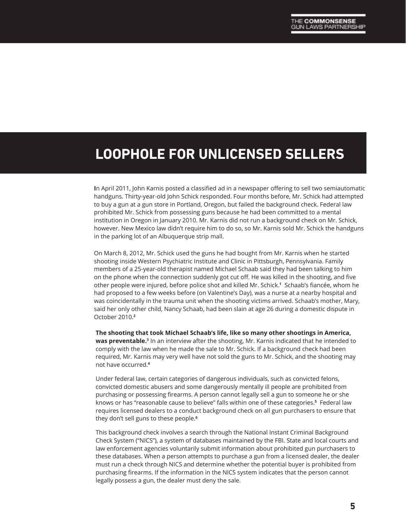# **LOOPHOLE FOR UNLICENSED SELLERS**

**I**n April 2011, John Karnis posted a classified ad in a newspaper offering to sell two semiautomatic handguns. Thirty-year-old John Schick responded. Four months before, Mr. Schick had attempted to buy a gun at a gun store in Portland, Oregon, but failed the background check. Federal law prohibited Mr. Schick from possessing guns because he had been committed to a mental institution in Oregon in January 2010. Mr. Karnis did not run a background check on Mr. Schick, however. New Mexico law didn't require him to do so, so Mr. Karnis sold Mr. Schick the handguns in the parking lot of an Albuquerque strip mall.

On March 8, 2012, Mr. Schick used the guns he had bought from Mr. Karnis when he started shooting inside Western Psychiatric Institute and Clinic in Pittsburgh, Pennsylvania. Family members of a 25-year-old therapist named Michael Schaab said they had been talking to him on the phone when the connection suddenly got cut off. He was killed in the shooting, and five other people were injured, before police shot and killed Mr. Schick.**<sup>1</sup>** Schaab's fiancée, whom he had proposed to a few weeks before (on Valentine's Day), was a nurse at a nearby hospital and was coincidentally in the trauma unit when the shooting victims arrived. Schaab's mother, Mary, said her only other child, Nancy Schaab, had been slain at age 26 during a domestic dispute in October 2010.**<sup>2</sup>**

**The shooting that took Michael Schaab's life, like so many other shootings in America, was preventable.3** In an interview after the shooting, Mr. Karnis indicated that he intended to comply with the law when he made the sale to Mr. Schick. If a background check had been required, Mr. Karnis may very well have not sold the guns to Mr. Schick, and the shooting may not have occurred.**<sup>4</sup>**

Under federal law, certain categories of dangerous individuals, such as convicted felons, convicted domestic abusers and some dangerously mentally ill people are prohibited from purchasing or possessing firearms. A person cannot legally sell a gun to someone he or she knows or has "reasonable cause to believe" falls within one of these categories.**<sup>5</sup>** Federal law requires licensed dealers to a conduct background check on all gun purchasers to ensure that they don't sell guns to these people.**<sup>6</sup>**

This background check involves a search through the National Instant Criminal Background Check System ("NICS"), a system of databases maintained by the FBI. State and local courts and law enforcement agencies voluntarily submit information about prohibited gun purchasers to these databases. When a person attempts to purchase a gun from a licensed dealer, the dealer must run a check through NICS and determine whether the potential buyer is prohibited from purchasing firearms. If the information in the NICS system indicates that the person cannot legally possess a gun, the dealer must deny the sale.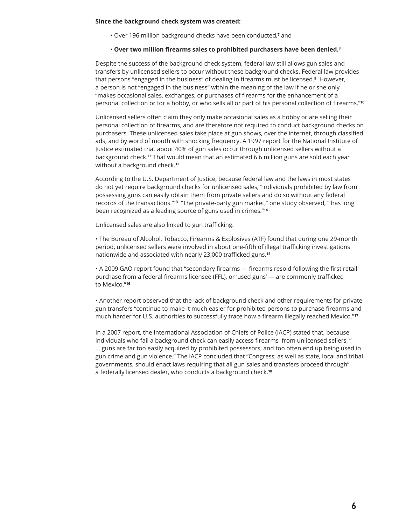#### **Since the background check system was created:**

• Over 196 million background checks have been conducted,<sup>7</sup> and

#### • **Over two million firearms sales to prohibited purchasers have been denied.8**

Despite the success of the background check system, federal law still allows gun sales and transfers by unlicensed sellers to occur without these background checks. Federal law provides that persons "engaged in the business" of dealing in firearms must be licensed.**<sup>9</sup>** However, a person is not "engaged in the business" within the meaning of the law if he or she only "makes occasional sales, exchanges, or purchases of firearms for the enhancement of a personal collection or for a hobby, or who sells all or part of his personal collection of firearms."**<sup>10</sup>**

Unlicensed sellers often claim they only make occasional sales as a hobby or are selling their personal collection of firearms, and are therefore not required to conduct background checks on purchasers. These unlicensed sales take place at gun shows, over the internet, through classified ads, and by word of mouth with shocking frequency. A 1997 report for the National Institute of Justice estimated that about 40% of gun sales occur through unlicensed sellers without a background check.**11** That would mean that an estimated 6.6 million guns are sold each year without a background check.**<sup>12</sup>**

According to the U.S. Department of Justice, because federal law and the laws in most states do not yet require background checks for unlicensed sales, "individuals prohibited by law from possessing guns can easily obtain them from private sellers and do so without any federal records of the transactions."**13** "The private-party gun market," one study observed, " has long been recognized as a leading source of guns used in crimes."**<sup>14</sup>**

Unlicensed sales are also linked to gun trafficking:

• The Bureau of Alcohol, Tobacco, Firearms & Explosives (ATF) found that during one 29-month period, unlicensed sellers were involved in about one-fifth of illegal trafficking investigations nationwide and associated with nearly 23,000 trafficked guns.**<sup>15</sup>**

• A 2009 GAO report found that "secondary firearms — firearms resold following the first retail purchase from a federal firearms licensee (FFL), or 'used guns' — are commonly trafficked to Mexico."**<sup>16</sup>**

• Another report observed that the lack of background check and other requirements for private gun transfers "continue to make it much easier for prohibited persons to purchase firearms and much harder for U.S. authorities to successfully trace how a firearm illegally reached Mexico."**<sup>17</sup>**

In a 2007 report, the International Association of Chiefs of Police (IACP) stated that, because individuals who fail a background check can easily access firearms from unlicensed sellers, " … guns are far too easily acquired by prohibited possessors, and too often end up being used in gun crime and gun violence." The IACP concluded that "Congress, as well as state, local and tribal governments, should enact laws requiring that all gun sales and transfers proceed through" a federally licensed dealer, who conducts a background check.**<sup>18</sup>**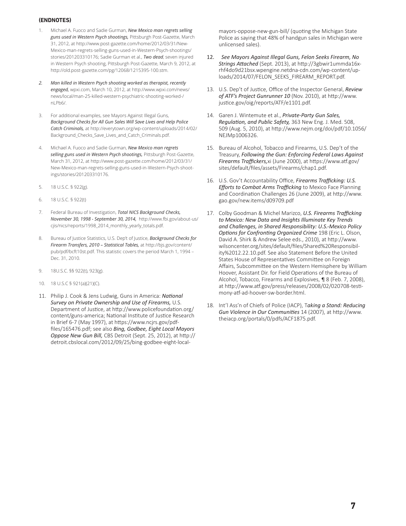#### **(ENDNOTES)**

- 1. Michael A. Fuoco and Sadie Gurman, *New Mexico man regrets selling guns used in Western Psych shootings,* Pittsburgh Post-Gazette, March 31, 2012, at http://www.post-gazette.com/home/2012/03/31/New-Mexico-man-regrets-selling-guns-used-in-Western-Psych-shootings/ stories/201203310176; Sadie Gurman et al., *Two dead*, seven injured in Western Psych shooting, Pittsburgh Post-Gazette, March 9, 2012, at http://old.post-gazette.com/pg/12068/1215395-100.stm.
- *2. Man killed in Western Psych shooting worked as therapist, recently engaged,* wpxi.com, March 10, 2012, at http://www.wpxi.com/news/ news/local/man-25-killed-western-psychiatric-shooting-worked-/ nLPb6/.
- 3. For additional examples, see Mayors Against Illegal Guns, *Background Checks for All Gun Sales Will Save Lives and Help Police Catch Criminals,* at http://everytown.org/wp-content/uploads/2014/02/ Background\_Checks\_Save\_Lives\_and\_Catch\_Criminals.pdf.
- 4. Michael A. Fuoco and Sadie Gurman, *New Mexico man regrets selling guns used in Western Psych shootings,* Pittsburgh Post-Gazette, March 31, 2012, at http://www.post-gazette.com/home/2012/03/31/ New-Mexico-man-regrets-selling-guns-used-in-Western-Psych-shootings/stories/201203310176.
- 5. 18 U.S.C. § 922(g).
- 6. 18 U.S.C. § 922(t)
- 7. Federal Bureau of Investigation, *Total NICS Background Checks, November 30, 1998 - September 30, 2014,* http://www.fbi.gov/about-us/ cjis/nics/reports/1998\_2014\_monthly\_yearly\_totals.pdf.
- 8. Bureau of Justice Statistics, U.S. Dep't of Justice, *Background Checks for Firearm Transfers, 2010 – Statistical Tables,* at http://bjs.gov/content/ pub/pdf/bcft10st.pdf. This statistic covers the period March 1, 1994 – Dec. 31, 2010.
- 9. 18U.S.C. §§ 922(t), 923(g).
- 10. 18 U.S.C § 921(a)(21)(C).
- 11. Philip J. Cook & Jens Ludwig, Guns in America: *National Survey on Private Ownership and Use of Firearms,* U.S. Department of Justice, at http://www.policefoundation.org/ content/guns-america; National Institute of Justice Research in Brief 6-7 (May 1997), at https://www.ncjrs.gov/pdffiles/165476.pdf; see also *Bing, Godbee, Eight Local Mayors Oppose New Gun Bill,* CBS Detroit (Sept. 25, 2012), at http:// detroit.cbslocal.com/2012/09/25/bing-godbee-eight-local-

mayors-oppose-new-gun-bill/ (quoting the Michigan State Police as saying that 48% of handgun sales in Michigan were unlicensed sales).

- 12. *See Mayors Against Illegal Guns, Felon Seeks Firearm, No Strings Attached* (Sept. 2013), at http://3gbwir1ummda16xrhf4do9d21bsx.wpengine.netdna-cdn.com/wp-content/uploads/2014/07/FELON\_SEEKS\_FIREARM\_REPORT.pdf.
- 13. U.S. Dep't of Justice, Office of the Inspector General, *Review of ATF's Project Gunrunner 10* (Nov. 2010), at http://www. justice.gov/oig/reports/ATF/e1101.pdf.
- 14. Garen J. Wintemute et al., *Private-Party Gun Sales, Regulation, and Public Safety,* 363 New Eng. J. Med. 508, 509 (Aug. 5, 2010), at http://www.nejm.org/doi/pdf/10.1056/ NEJMp1006326.
- 15. Bureau of Alcohol, Tobacco and Firearms, U.S. Dep't of the Treasury, *Following the Gun: Enforcing Federal Laws Against Firearms Traffickers,*xi (June 2000), at https://www.atf.gov/ sites/default/files/assets/Firearms/chap1.pdf.
- 16. U.S. Gov't Accountability Office, *Firearms Trafficking: U.S. Efforts to Combat Arms Trafficking* to Mexico Face Planning and Coordination Challenges 26 (June 2009), at http://www. gao.gov/new.items/d09709.pdf
- 17. Colby Goodman & Michel Marizco, *U.S. Firearms Trafficking to Mexico: New Data and Insights Illuminate Key Trends and Challenges, in Shared Responsibility: U.S.-Mexico Policy Options for Confronting Organized Crime* 198 (Eric L. Olson, David A. Shirk & Andrew Selee eds., 2010), at http://www. wilsoncenter.org/sites/default/files/Shared%20Responsibility%2012.22.10.pdf. See also Statement Before the United States House of Representatives Committee on Foreign Affairs, Subcommittee on the Western Hemisphere by William Hoover, Assistant Dir. for Field Operations of the Bureau of Alcohol, Tobacco, Firearms and Explosives, ¶ 8 (Feb. 7, 2008), at http://www.atf.gov/press/releases/2008/02/020708-testimony-atf-ad-hoover-sw-border.html.
- 18. Int'l Ass'n of Chiefs of Police (IACP), T*aking a Stand: Reducing Gun Violence in Our Communities* 14 (2007), at http://www. theiacp.org/portals/0/pdfs/ACF1875.pdf.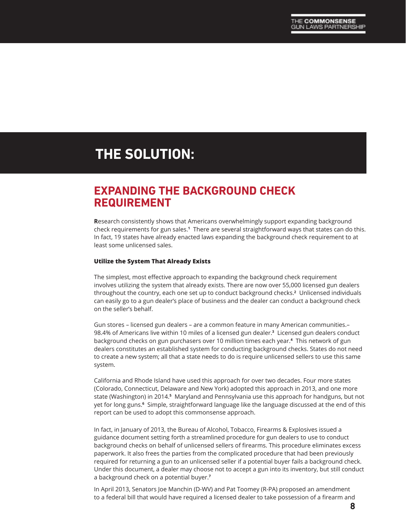# **THE SOLUTION:**

### **EXPANDING THE BACKGROUND CHECK REQUIREMENT**

**R**esearch consistently shows that Americans overwhelmingly support expanding background check requirements for gun sales.**<sup>1</sup>** There are several straightforward ways that states can do this. In fact, 19 states have already enacted laws expanding the background check requirement to at least some unlicensed sales.

#### **Utilize the System That Already Exists**

The simplest, most effective approach to expanding the background check requirement involves utilizing the system that already exists. There are now over 55,000 licensed gun dealers throughout the country, each one set up to conduct background checks.**<sup>2</sup>** Unlicensed individuals can easily go to a gun dealer's place of business and the dealer can conduct a background check on the seller's behalf.

Gun stores – licensed gun dealers – are a common feature in many American communities.– 98.4% of Americans live within 10 miles of a licensed gun dealer.**<sup>3</sup>** Licensed gun dealers conduct background checks on gun purchasers over 10 million times each year.**4** This network of gun dealers constitutes an established system for conducting background checks. States do not need to create a new system; all that a state needs to do is require unlicensed sellers to use this same system.

California and Rhode Island have used this approach for over two decades. Four more states (Colorado, Connecticut, Delaware and New York) adopted this approach in 2013, and one more state (Washington) in 2014.**5** Maryland and Pennsylvania use this approach for handguns, but not yet for long guns.**<sup>6</sup>** Simple, straightforward language like the language discussed at the end of this report can be used to adopt this commonsense approach.

In fact, in January of 2013, the Bureau of Alcohol, Tobacco, Firearms & Explosives issued a guidance document setting forth a streamlined procedure for gun dealers to use to conduct background checks on behalf of unlicensed sellers of firearms. This procedure eliminates excess paperwork. It also frees the parties from the complicated procedure that had been previously required for returning a gun to an unlicensed seller if a potential buyer fails a background check. Under this document, a dealer may choose not to accept a gun into its inventory, but still conduct a background check on a potential buyer.**<sup>7</sup>**

In April 2013, Senators Joe Manchin (D-WV) and Pat Toomey (R-PA) proposed an amendment to a federal bill that would have required a licensed dealer to take possession of a firearm and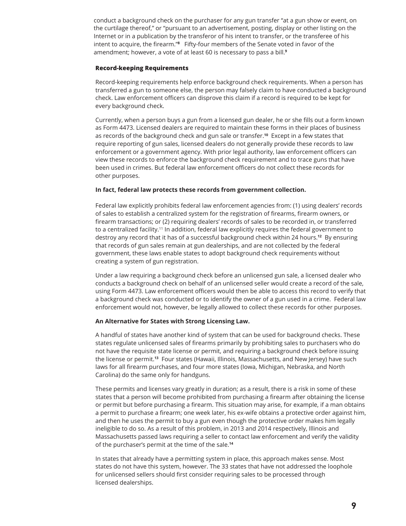conduct a background check on the purchaser for any gun transfer "at a gun show or event, on the curtilage thereof," or "pursuant to an advertisement, posting, display or other listing on the Internet or in a publication by the transferor of his intent to transfer, or the transferee of his intent to acquire, the firearm."**<sup>8</sup>** Fifty-four members of the Senate voted in favor of the amendment; however, a vote of at least 60 is necessary to pass a bill.**<sup>9</sup>**

#### **Record-keeping Requirements**

Record-keeping requirements help enforce background check requirements. When a person has transferred a gun to someone else, the person may falsely claim to have conducted a background check. Law enforcement officers can disprove this claim if a record is required to be kept for every background check.

Currently, when a person buys a gun from a licensed gun dealer, he or she fills out a form known as Form 4473. Licensed dealers are required to maintain these forms in their places of business as records of the background check and gun sale or transfer.**10** Except in a few states that require reporting of gun sales, licensed dealers do not generally provide these records to law enforcement or a government agency. With prior legal authority, law enforcement officers can view these records to enforce the background check requirement and to trace guns that have been used in crimes. But federal law enforcement officers do not collect these records for other purposes.

#### **In fact, federal law protects these records from government collection.**

Federal law explicitly prohibits federal law enforcement agencies from: (1) using dealers' records of sales to establish a centralized system for the registration of firearms, firearm owners, or firearm transactions; or (2) requiring dealers' records of sales to be recorded in, or transferred to a centralized facility.11 In addition, federal law explicitly requires the federal government to destroy any record that it has of a successful background check within 24 hours.**12** By ensuring that records of gun sales remain at gun dealerships, and are not collected by the federal government, these laws enable states to adopt background check requirements without creating a system of gun registration.

Under a law requiring a background check before an unlicensed gun sale, a licensed dealer who conducts a background check on behalf of an unlicensed seller would create a record of the sale, using Form 4473. Law enforcement officers would then be able to access this record to verify that a background check was conducted or to identify the owner of a gun used in a crime. Federal law enforcement would not, however, be legally allowed to collect these records for other purposes.

#### **An Alternative for States with Strong Licensing Law.**

A handful of states have another kind of system that can be used for background checks. These states regulate unlicensed sales of firearms primarily by prohibiting sales to purchasers who do not have the requisite state license or permit, and requiring a background check before issuing the license or permit.**13** Four states (Hawaii, Illinois, Massachusetts, and New Jersey) have such laws for all firearm purchases, and four more states (Iowa, Michigan, Nebraska, and North Carolina) do the same only for handguns.

These permits and licenses vary greatly in duration; as a result, there is a risk in some of these states that a person will become prohibited from purchasing a firearm after obtaining the license or permit but before purchasing a firearm. This situation may arise, for example, if a man obtains a permit to purchase a firearm; one week later, his ex-wife obtains a protective order against him, and then he uses the permit to buy a gun even though the protective order makes him legally ineligible to do so. As a result of this problem, in 2013 and 2014 respectively, Illinois and Massachusetts passed laws requiring a seller to contact law enforcement and verify the validity of the purchaser's permit at the time of the sale.**<sup>14</sup>**

In states that already have a permitting system in place, this approach makes sense. Most states do not have this system, however. The 33 states that have not addressed the loophole for unlicensed sellers should first consider requiring sales to be processed through licensed dealerships.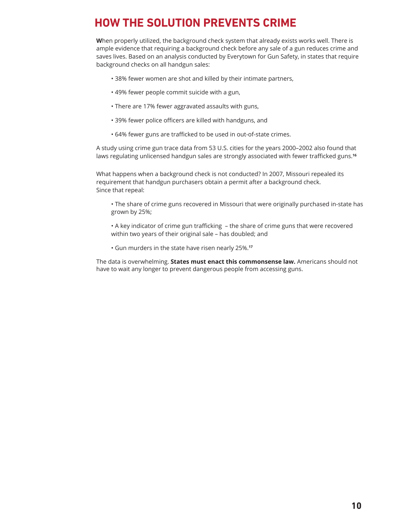# **HOW THE SOLUTION PREVENTS CRIME**

**W**hen properly utilized, the background check system that already exists works well. There is ample evidence that requiring a background check before any sale of a gun reduces crime and saves lives. Based on an analysis conducted by Everytown for Gun Safety, in states that require background checks on all handgun sales:

- 38% fewer women are shot and killed by their intimate partners,
- 49% fewer people commit suicide with a gun,
- There are 17% fewer aggravated assaults with guns,
- 39% fewer police officers are killed with handguns, and
- 64% fewer guns are trafficked to be used in out-of-state crimes.

A study using crime gun trace data from 53 U.S. cities for the years 2000–2002 also found that laws regulating unlicensed handgun sales are strongly associated with fewer trafficked guns.**<sup>16</sup>**

What happens when a background check is not conducted? In 2007, Missouri repealed its requirement that handgun purchasers obtain a permit after a background check. Since that repeal:

• The share of crime guns recovered in Missouri that were originally purchased in-state has grown by 25%;

• A key indicator of crime gun trafficking – the share of crime guns that were recovered within two years of their original sale – has doubled; and

• Gun murders in the state have risen nearly 25%.**<sup>17</sup>**

The data is overwhelming. **States must enact this commonsense law.** Americans should not have to wait any longer to prevent dangerous people from accessing guns.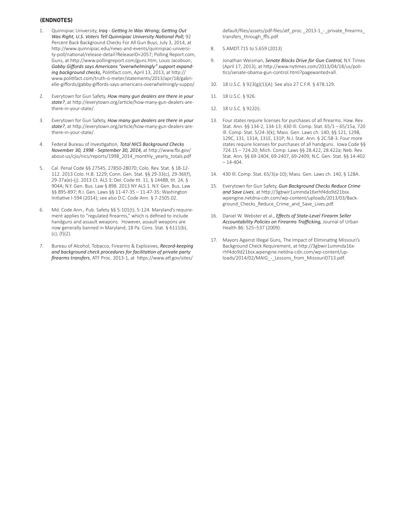#### **(ENDNOTES)**

- 1. Quinnipiac University, *Iraq Getting In Was Wrong; Getting Out Was Right, U.S. Voters Tell Quinnipiac University National Poll;* 92 Percent Back Background Checks For All Gun Buys, July 3, 2014, at http://www.quinnipiac.edu/news-and-events/quinnipiac-university-poll/national/release-detail?ReleaseID=2057; Polling Report.com, Guns, at http://www.pollingreport.com/guns.htm; Louis Jacobson, *Gabby Giffords says Americans "overwhelmingly" support expanding background checks,* Politifact.com, April 13, 2013, at http:// www.politifact.com/truth-o-meter/statements/2013/apr/18/gabrielle-giffords/gabby-giffords-says-americans-overwhelmingly-suppo/.
- 2. Everytown for Gun Safety, *How many gun dealers are there in your state?*, at http://everytown.org/article/how-many-gun-dealers-arethere-in-your-state/.
- 3. Everytown for Gun Safety, *How many gun dealers are there in your state?*, at http://everytown.org/article/how-many-gun-dealers-arethere-in-your-state/.
- 4. Federal Bureau of Investigation, *Total NICS Background Checks November 30, 1998 - September 30, 2014,* at http://www.fbi.gov/ about-us/cjis/nics/reports/1998\_2014\_monthly\_yearly\_totals.pdf
- 5. Cal. Penal Code §§ 27545, 27850-28070; Colo. Rev. Stat. § 18-12- 112. 2013 Colo. H.B. 1229; Conn. Gen. Stat. §§ 29-33(c), 29-36l(f), 29-37a(e)-(j). 2013 Ct. ALS 3; Del. Code tit. 11, § 1448B, tit. 24, § 904A; N.Y. Gen. Bus. Law § 898. 2013 NY ALS 1. N.Y. Gen. Bus. Law §§ 895-897; R.I. Gen. Laws §§ 11-47-35 – 11-47-35; Washington Initiative I-594 (2014); see also D.C. Code Ann. § 7-2505.02.
- 6. Md. Code Ann., Pub. Safety §§ 5-101(t), 5-124. Maryland's requirement applies to "regulated firearms," which is defined to include handguns and assault weapons. However, assault weapons are now generally banned in Maryland; 18 Pa. Cons. Stat. § 6111(b), (c), (f)(2).
- 7. Bureau of Alcohol, Tobacco, Firearms & Explosives, *Record-keeping and background check procedures for facilitation of private party firearms transfers*, ATF Proc. 2013-1, at https://www.atf.gov/sites/

default/files/assets/pdf-files/atf\_proc.\_2013-1\_-\_private\_firearms\_ transfers\_through\_ffls.pdf

- 8. S.AMDT.715 to S.659 (2013)
- 9. Jonathan Weisman, *Senate Blocks Drive for Gun Control,* N.Y. Times (April 17, 2013), at http://www.nytimes.com/2013/04/18/us/politics/senate-obama-gun-control.html?pagewanted=all.
- 10. 18 U.S.C. § 923(g)(1)(A). See also 27 C.F.R. § 478.129.
- 11. 18 U.S.C. § 926.
- 12. 18 U.S.C. § 922(t).
- 13. Four states require licenses for purchases of all firearms. Haw. Rev. Stat. Ann. §§ 134-2, 134-13; 430 Ill. Comp. Stat. 65/1 – 65/15a, 720 Ill. Comp. Stat. 5/24-3(k); Mass. Gen. Laws ch. 140, §§ 121, 129B, 129C, 131, 131A, 131E, 131P; N.J. Stat. Ann. § 2C:58-3. Four more states require licenses for purchases of all handguns. Iowa Code §§ 724.15 – 724.20; Mich. Comp. Laws §§ 28.422, 28.422a; Neb. Rev. Stat. Ann. §§ 69-2404, 69-2407, 69-2409; N.C. Gen. Stat. §§ 14-402  $-14-404.$
- 14. 430 Ill. Comp. Stat. 65/3(a-10); Mass. Gen. Laws ch. 140, § 128A.
- 15. Everytown for Gun Safety, *Gun Background Checks Reduce Crime and Save Lives*, at http://3gbwir1ummda16xrhf4do9d21bsx. wpengine.netdna-cdn.com/wp-content/uploads/2013/03/Background\_Checks\_Reduce\_Crime\_and\_Save\_Lives.pdf.
- 16. Daniel W. Webster et al., *Effects of State-Level Firearm Seller Accountability Policies on Firearms Trafficking,* Journal of Urban Health 86: 525–537 (2009).
- 17. Mayors Against Illegal Guns, The Impact of Eliminating Missouri's Background Check Requirement, at http://3gbwir1ummda16xrhf4do9d21bsx.wpengine.netdna-cdn.com/wp-content/uploads/2014/02/MAIG - Lessons from Missouri0713.pdf.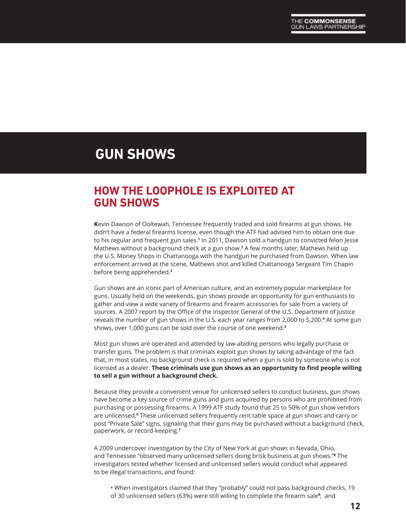# **GUN SHOWS**

### **HOW THE LOOPHOLE IS EXPLOITED AT GUN SHOWS**

**K**evin Dawson of Ooltewah, Tennessee frequently traded and sold firearms at gun shows. He didn't have a federal firearms license, even though the ATF had advised him to obtain one due to his regular and frequent gun sales.**<sup>1</sup>** In 2011, Dawson sold a handgun to convicted felon Jesse Mathews without a background check at a gun show.<sup>2</sup> A few months later, Mathews held up the U.S. Money Shops in Chattanooga with the handgun he purchased from Dawson. When law enforcement arrived at the scene, Mathews shot and killed Chattanooga Sergeant Tim Chapin before being apprehended.**<sup>3</sup>**

Gun shows are an iconic part of American culture, and an extremely popular marketplace for guns. Usually held on the weekends, gun shows provide an opportunity for gun enthusiasts to gather and view a wide variety of firearms and firearm accessories for sale from a variety of sources. A 2007 report by the Office of the Inspector General of the U.S. Department of Justice reveals the number of gun shows in the U.S. each year ranges from 2,000 to 5,200.<del>4</del> At some gun shows, over 1,000 guns can be sold over the course of one weekend.**<sup>5</sup>**

Most gun shows are operated and attended by law-abiding persons who legally purchase or transfer guns. The problem is that criminals exploit gun shows by taking advantage of the fact that, in most states, no background check is required when a gun is sold by someone who is not licensed as a dealer. **These criminals use gun shows as an opportunity to find people willing to sell a gun without a background check.**

Because they provide a convenient venue for unlicensed sellers to conduct business, gun shows have become a key source of crime guns and guns acquired by persons who are prohibited from purchasing or possessing firearms. A 1999 ATF study found that 25 to 50% of gun show vendors are unlicensed.**<sup>6</sup>** These unlicensed sellers frequently rent table space at gun shows and carry or post "Private Sale" signs, signaling that their guns may be purchased without a background check, paperwork, or record-keeping.**<sup>7</sup>**

A 2009 undercover investigation by the City of New York at gun shows in Nevada, Ohio, and Tennessee "observed many unlicensed sellers doing brisk business at gun shows."**<sup>8</sup>** The investigators tested whether licensed and unlicensed sellers would conduct what appeared to be illegal transactions, and found:

• When investigators claimed that they "probably" could not pass background checks, 19 of 30 unlicensed sellers (63%) were still willing to complete the firearm sale**<sup>9</sup>** ; and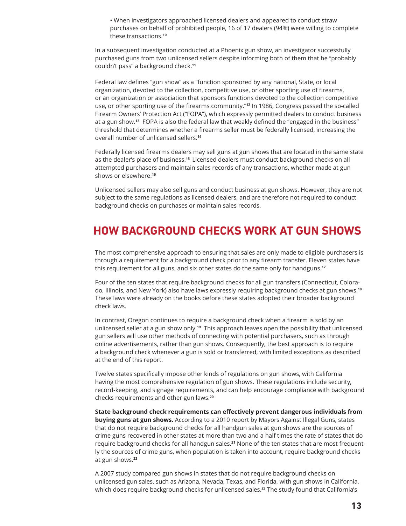• When investigators approached licensed dealers and appeared to conduct straw purchases on behalf of prohibited people, 16 of 17 dealers (94%) were willing to complete these transactions.**<sup>10</sup>**

In a subsequent investigation conducted at a Phoenix gun show, an investigator successfully purchased guns from two unlicensed sellers despite informing both of them that he "probably couldn't pass" a background check.**<sup>11</sup>**

Federal law defines "gun show" as a "function sponsored by any national, State, or local organization, devoted to the collection, competitive use, or other sporting use of firearms, or an organization or association that sponsors functions devoted to the collection competitive use, or other sporting use of the firearms community."**12** In 1986, Congress passed the so-called Firearm Owners' Protection Act ("FOPA"), which expressly permitted dealers to conduct business at a gun show.**13** FOPA is also the federal law that weakly defined the "engaged in the business" threshold that determines whether a firearms seller must be federally licensed, increasing the overall number of unlicensed sellers.**<sup>14</sup>**

Federally licensed firearms dealers may sell guns at gun shows that are located in the same state as the dealer's place of business.**15** Licensed dealers must conduct background checks on all attempted purchasers and maintain sales records of any transactions, whether made at gun shows or elsewhere.**<sup>16</sup>**

Unlicensed sellers may also sell guns and conduct business at gun shows. However, they are not subject to the same regulations as licensed dealers, and are therefore not required to conduct background checks on purchases or maintain sales records.

### **HOW BACKGROUND CHECKS WORK AT GUN SHOWS**

**T**he most comprehensive approach to ensuring that sales are only made to eligible purchasers is through a requirement for a background check prior to any firearm transfer. Eleven states have this requirement for all guns, and six other states do the same only for handguns.**<sup>17</sup>**

Four of the ten states that require background checks for all gun transfers (Connecticut, Colorado, Illinois, and New York) also have laws expressly requiring background checks at gun shows.**<sup>18</sup>** These laws were already on the books before these states adopted their broader background check laws.

In contrast, Oregon continues to require a background check when a firearm is sold by an unlicensed seller at a gun show only.**19** This approach leaves open the possibility that unlicensed gun sellers will use other methods of connecting with potential purchasers, such as through online advertisements, rather than gun shows. Consequently, the best approach is to require a background check whenever a gun is sold or transferred, with limited exceptions as described at the end of this report.

Twelve states specifically impose other kinds of regulations on gun shows, with California having the most comprehensive regulation of gun shows. These regulations include security, record-keeping, and signage requirements, and can help encourage compliance with background checks requirements and other gun laws.**<sup>20</sup>**

**State background check requirements can effectively prevent dangerous individuals from buying guns at gun shows.** According to a 2010 report by Mayors Against Illegal Guns, states that do not require background checks for all handgun sales at gun shows are the sources of crime guns recovered in other states at more than two and a half times the rate of states that do require background checks for all handgun sales.**21** None of the ten states that are most frequently the sources of crime guns, when population is taken into account, require background checks at gun shows.**<sup>22</sup>**

A 2007 study compared gun shows in states that do not require background checks on unlicensed gun sales, such as Arizona, Nevada, Texas, and Florida, with gun shows in California, which does require background checks for unlicensed sales.**23** The study found that California's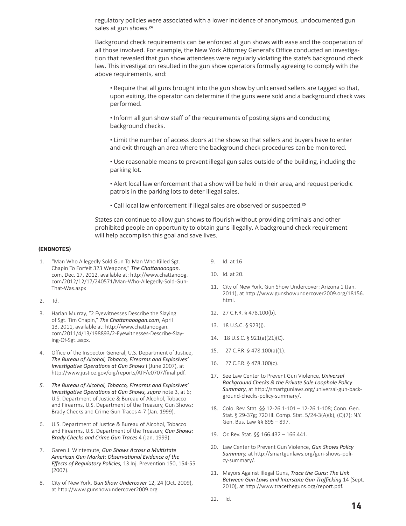regulatory policies were associated with a lower incidence of anonymous, undocumented gun sales at gun shows.**<sup>24</sup>**

Background check requirements can be enforced at gun shows with ease and the cooperation of all those involved. For example, the New York Attorney General's Office conducted an investigation that revealed that gun show attendees were regularly violating the state's background check law. This investigation resulted in the gun show operators formally agreeing to comply with the above requirements, and:

• Require that all guns brought into the gun show by unlicensed sellers are tagged so that, upon exiting, the operator can determine if the guns were sold and a background check was performed.

• Inform all gun show staff of the requirements of posting signs and conducting background checks.

• Limit the number of access doors at the show so that sellers and buyers have to enter and exit through an area where the background check procedures can be monitored.

• Use reasonable means to prevent illegal gun sales outside of the building, including the parking lot.

• Alert local law enforcement that a show will be held in their area, and request periodic patrols in the parking lots to deter illegal sales.

• Call local law enforcement if illegal sales are observed or suspected.**<sup>25</sup>**

States can continue to allow gun shows to flourish without providing criminals and other prohibited people an opportunity to obtain guns illegally. A background check requirement will help accomplish this goal and save lives.

#### **(ENDNOTES)**

- 1. "Man Who Allegedly Sold Gun To Man Who Killed Sgt. Chapin To Forfeit 323 Weapons," *The Chattanaoogan.* com, Dec. 17, 2012, available at: http://www.chattanoog. com/2012/12/17/240571/Man-Who-Allegedly-Sold-Gun-That-Was.aspx
- 2. Id.
- 3. Harlan Murray, "2 Eyewitnesses Describe the Slaying of Sgt. Tim Chapin," *The Chattanaoogan.com*, April 13, 2011, available at: http://www.chattanoogan. com/2011/4/13/198893/2-Eyewitnesses-Describe-Slaying-Of-Sgt..aspx.
- 4. Office of the Inspector General, U.S. Department of Justice, *The Bureau of Alcohol, Tobacco, Firearms and Explosives' Investigative Operations at Gun Shows* i (June 2007), at http://www.justice.gov/oig/reports/ATF/e0707/final.pdf.
- *5. The Bureau of Alcohol, Tobacco, Firearms and Explosives' Investigative Operations at Gun Shows, supra* note 3, at 6; U.S. Department of Justice & Bureau of Alcohol, Tobacco and Firearms, U.S. Department of the Treasury, Gun Shows: Brady Checks and Crime Gun Traces 4-7 (Jan. 1999).
- 6. U.S. Department of Justice & Bureau of Alcohol, Tobacco and Firearms, U.S. Department of the Treasury, *Gun Shows: Brady Checks and Crime Gun Traces* 4 (Jan. 1999).
- 7. Garen J. Wintemute, *Gun Shows Across a Multistate American Gun Market: Observational Evidence of the Effects of Regulatory Policies,* 13 Inj. Prevention 150, 154-55 (2007).
- 8. City of New York, *Gun Show Undercover* 12, 24 (Oct. 2009), at http://www.gunshowundercover2009.org
- 9. Id. at 16
- 10. Id. at 20.
- 11. City of New York, Gun Show Undercover: Arizona 1 (Jan. 2011), at http://www.gunshowundercover2009.org/18156. html.
- 12. 27 C.F.R. § 478.100(b).
- 13. 18 U.S.C. § 923(j).
- 14. 18 U.S.C. § 921(a)(21)(C).
- 15. 27 C.F.R. § 478.100(a)(1).
- 16. 27 C.F.R. § 478.100(c).
- 17. See Law Center to Prevent Gun Violence, *Universal Background Checks & the Private Sale Loophole Policy Summary*, at http://smartgunlaws.org/universal-gun-background-checks-policy-summary/.
- 18. Colo. Rev. Stat. §§ 12-26.1-101 12-26.1-108; Conn. Gen. Stat. § 29-37g; 720 Ill. Comp. Stat. 5/24-3(A)(k), (C)(7); N.Y. Gen. Bus. Law §§ 895 – 897.
- 19. Or. Rev. Stat. §§ 166.432 166.441.
- 20. Law Center to Prevent Gun Violence, *Gun Shows Policy Summary,* at http://smartgunlaws.org/gun-shows-policy-summary/.
- 21. Mayors Against Illegal Guns, *Trace the Guns: The Link Between Gun Laws and Interstate Gun Trafficking* 14 (Sept. 2010), at http://www.tracetheguns.org/report.pdf.
- 22. Id.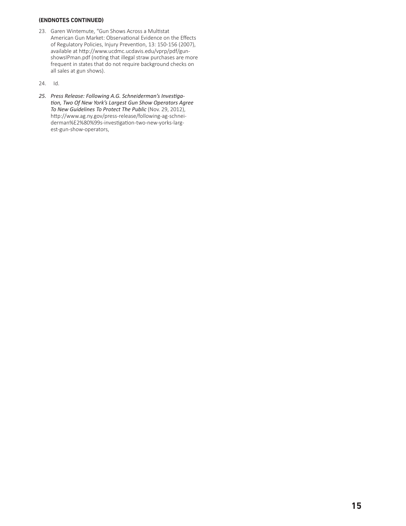#### **(ENDNOTES CONTINUED)**

- 23. Garen Wintemute, "Gun Shows Across a Multistat American Gun Market: Observational Evidence on the Effects of Regulatory Policies, Injury Prevention, 13: 150-156 (2007), available at http://www.ucdmc.ucdavis.edu/vprp/pdf/gunshowsIPman.pdf (noting that illegal straw purchases are more frequent in states that do not require background checks on all sales at gun shows).
- 24. Id.
- *25. Press Release: Following A.G. Schneiderman's Investigation, Two Of New York's Largest Gun Show Operators Agree To New Guidelines To Protect The Public* (Nov. 29, 2012), http://www.ag.ny.gov/press-release/following-ag-schneiderman%E2%80%99s-investigation-two-new-yorks-largest-gun-show-operators,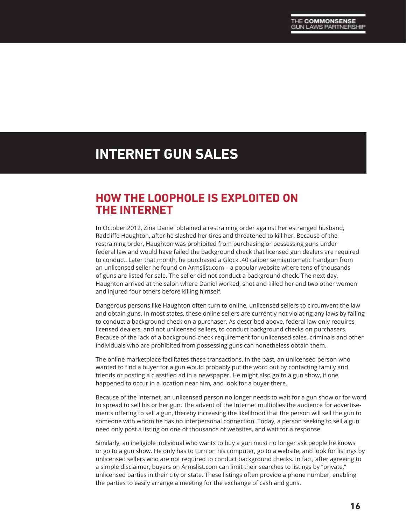# **INTERNET GUN SALES**

### **HOW THE LOOPHOLE IS EXPLOITED ON THE INTERNET**

**I**n October 2012, Zina Daniel obtained a restraining order against her estranged husband, Radcliffe Haughton, after he slashed her tires and threatened to kill her. Because of the restraining order, Haughton was prohibited from purchasing or possessing guns under federal law and would have failed the background check that licensed gun dealers are required to conduct. Later that month, he purchased a Glock .40 caliber semiautomatic handgun from an unlicensed seller he found on Armslist.com – a popular website where tens of thousands of guns are listed for sale. The seller did not conduct a background check. The next day, Haughton arrived at the salon where Daniel worked, shot and killed her and two other women and injured four others before killing himself.

Dangerous persons like Haughton often turn to online, unlicensed sellers to circumvent the law and obtain guns. In most states, these online sellers are currently not violating any laws by failing to conduct a background check on a purchaser. As described above, federal law only requires licensed dealers, and not unlicensed sellers, to conduct background checks on purchasers. Because of the lack of a background check requirement for unlicensed sales, criminals and other individuals who are prohibited from possessing guns can nonetheless obtain them.

The online marketplace facilitates these transactions. In the past, an unlicensed person who wanted to find a buyer for a gun would probably put the word out by contacting family and friends or posting a classified ad in a newspaper. He might also go to a gun show, if one happened to occur in a location near him, and look for a buyer there.

Because of the Internet, an unlicensed person no longer needs to wait for a gun show or for word to spread to sell his or her gun. The advent of the Internet multiplies the audience for advertisements offering to sell a gun, thereby increasing the likelihood that the person will sell the gun to someone with whom he has no interpersonal connection. Today, a person seeking to sell a gun need only post a listing on one of thousands of websites, and wait for a response.

Similarly, an ineligible individual who wants to buy a gun must no longer ask people he knows or go to a gun show. He only has to turn on his computer, go to a website, and look for listings by unlicensed sellers who are not required to conduct background checks. In fact, after agreeing to a simple disclaimer, buyers on Armslist.com can limit their searches to listings by "private," unlicensed parties in their city or state. These listings often provide a phone number, enabling the parties to easily arrange a meeting for the exchange of cash and guns.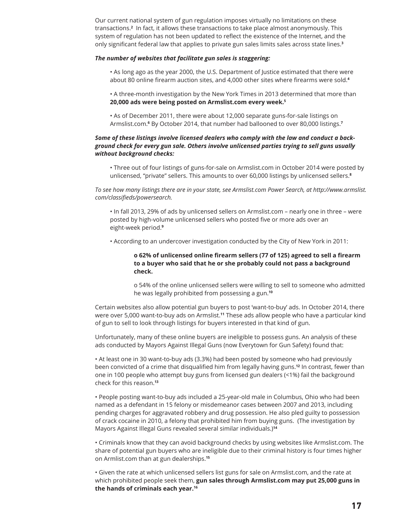Our current national system of gun regulation imposes virtually no limitations on these transactions.**<sup>2</sup>** In fact, it allows these transactions to take place almost anonymously. This system of regulation has not been updated to reflect the existence of the Internet, and the only significant federal law that applies to private gun sales limits sales across state lines.**<sup>3</sup>**

#### *The number of websites that facilitate gun sales is staggering:*

- As long ago as the year 2000, the U.S. Department of Justice estimated that there were about 80 online firearm auction sites, and 4,000 other sites where firearms were sold.**<sup>4</sup>**
- A three-month investigation by the New York Times in 2013 determined that more than **20,000 ads were being posted on Armslist.com every week.5**
- As of December 2011, there were about 12,000 separate guns-for-sale listings on Armslist.com.**<sup>6</sup>** By October 2014, that number had ballooned to over 80,000 listings.**<sup>7</sup>**

#### *Some of these listings involve licensed dealers who comply with the law and conduct a background check for every gun sale. Others involve unlicensed parties trying to sell guns usually without background checks:*

• Three out of four listings of guns-for-sale on Armslist.com in October 2014 were posted by unlicensed, "private" sellers. This amounts to over 60,000 listings by unlicensed sellers.**<sup>8</sup>**

*To see how many listings there are in your state, see Armslist.com Power Search, at http://www.armslist. com/classifieds/powersearch.* 

• In fall 2013, 29% of ads by unlicensed sellers on Armslist.com – nearly one in three – were posted by high-volume unlicensed sellers who posted five or more ads over an eight-week period.**<sup>9</sup>**

• According to an undercover investigation conducted by the City of New York in 2011:

#### **o 62% of unlicensed online firearm sellers (77 of 125) agreed to sell a firearm to a buyer who said that he or she probably could not pass a background check.**

 o 54% of the online unlicensed sellers were willing to sell to someone who admitted he was legally prohibited from possessing a gun.**<sup>10</sup>**

Certain websites also allow potential gun buyers to post 'want-to-buy' ads. In October 2014, there were over 5,000 want-to-buy ads on Armslist.**11** These ads allow people who have a particular kind of gun to sell to look through listings for buyers interested in that kind of gun.

Unfortunately, many of these online buyers are ineligible to possess guns. An analysis of these ads conducted by Mayors Against Illegal Guns (now Everytown for Gun Safety) found that:

• At least one in 30 want-to-buy ads (3.3%) had been posted by someone who had previously been convicted of a crime that disqualified him from legally having guns.**<sup>12</sup>** In contrast, fewer than one in 100 people who attempt buy guns from licensed gun dealers (<1%) fail the background check for this reason.**<sup>13</sup>**

• People posting want-to-buy ads included a 25-year-old male in Columbus, Ohio who had been named as a defendant in 15 felony or misdemeanor cases between 2007 and 2013, including pending charges for aggravated robbery and drug possession. He also pled guilty to possession of crack cocaine in 2010, a felony that prohibited him from buying guns. (The investigation by Mayors Against Illegal Guns revealed several similar individuals.)**<sup>14</sup>**

• Criminals know that they can avoid background checks by using websites like Armslist.com. The share of potential gun buyers who are ineligible due to their criminal history is four times higher on Armlist.com than at gun dealerships.**<sup>15</sup>**

• Given the rate at which unlicensed sellers list guns for sale on Armslist.com, and the rate at which prohibited people seek them, **gun sales through Armslist.com may put 25,000 guns in the hands of criminals each year.16**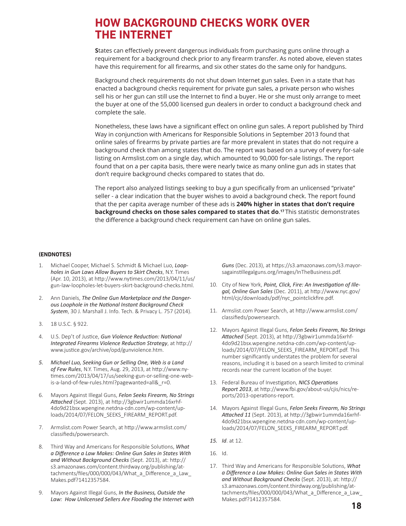### **HOW BACKGROUND CHECKS WORK OVER THE INTERNET**

**S**tates can effectively prevent dangerous individuals from purchasing guns online through a requirement for a background check prior to any firearm transfer. As noted above, eleven states have this requirement for all firearms, and six other states do the same only for handguns.

Background check requirements do not shut down Internet gun sales. Even in a state that has enacted a background checks requirement for private gun sales, a private person who wishes sell his or her gun can still use the Internet to find a buyer. He or she must only arrange to meet the buyer at one of the 55,000 licensed gun dealers in order to conduct a background check and complete the sale.

Nonetheless, these laws have a significant effect on online gun sales. A report published by Third Way in conjunction with Americans for Responsible Solutions in September 2013 found that online sales of firearms by private parties are far more prevalent in states that do not require a background check than among states that do. The report was based on a survey of every for-sale listing on Armslist.com on a single day, which amounted to 90,000 for-sale listings. The report found that on a per capita basis, there were nearly twice as many online gun ads in states that don't require background checks compared to states that do.

The report also analyzed listings seeking to buy a gun specifically from an unlicensed "private" seller - a clear indication that the buyer wishes to avoid a background check. The report found that the per capita average number of these ads is **240% higher in states that don't require background checks on those sales compared to states that do**. **<sup>17</sup>** This statistic demonstrates the difference a background check requirement can have on online gun sales.

#### **(ENDNOTES)**

- 1. Michael Cooper, Michael S. Schmidt & Michael Luo, *Loopholes in Gun Laws Allow Buyers to Skirt Checks*, N.Y. Times (Apr. 10, 2013), at http://www.nytimes.com/2013/04/11/us/ gun-law-loopholes-let-buyers-skirt-background-checks.html.
- 2. Ann Daniels, *The Online Gun Marketplace and the Dangerous Loophole in the National Instant Background Check System*, 30 J. Marshall J. Info. Tech. & Privacy L. 757 (2014).
- 3. 18 U.S.C. § 922.
- 4. U.S. Dep't of Justice, *Gun Violence Reduction: National Integrated Firearms Violence Reduction Strategy*, at http:// www.justice.gov/archive/opd/gunviolence.htm.
- *5. Michael Luo, Seeking Gun or Selling One, Web is a Land of Few Rules*, N.Y. Times, Aug. 29, 2013, at http://www.nytimes.com/2013/04/17/us/seeking-gun-or-selling-one-webis-a-land-of-few-rules.html?pagewanted=all&\_r=0.
- 6. Mayors Against Illegal Guns, *Felon Seeks Firearm, No Strings Attached* (Sept. 2013), at http://3gbwir1ummda16xrhf-4do9d21bsx.wpengine.netdna-cdn.com/wp-content/uploads/2014/07/FELON\_SEEKS\_FIREARM\_REPORT.pdf.
- 7. Armslist.com Power Search, at http://www.armslist.com/ classifieds/powersearch.
- 8. Third Way and Americans for Responsible Solutions, *What a Difference a Law Makes: Online Gun Sales in States With and Without Background Checks* (Sept. 2013), at: http:// s3.amazonaws.com/content.thirdway.org/publishing/attachments/files/000/000/043/What\_a\_Difference\_a\_Law Makes.pdf?1412357584.
- 9. Mayors Against Illegal Guns, *In the Business, Outside the Law: How Unlicensed Sellers Are Flooding the Internet with*

*Guns* (Dec. 2013), at https://s3.amazonaws.com/s3.mayorsagainstillegalguns.org/images/InTheBusiness.pdf.

- 10. City of New York, *Point, Click, Fire: An Investigation of Illegal, Online Gun Sales* (Dec. 2011), at http://www.nyc.gov/ html/cjc/downloads/pdf/nyc\_pointclickfire.pdf.
- 11. Armslist.com Power Search, at http://www.armslist.com/ classifieds/powersearch.
- 12. Mayors Against Illegal Guns, *Felon Seeks Firearm, No Strings Attached* (Sept. 2013), at http://3gbwir1ummda16xrhf-4do9d21bsx.wpengine.netdna-cdn.com/wp-content/uploads/2014/07/FELON\_SEEKS\_FIREARM\_REPORT.pdf. This number significantly understates the problem for several reasons, including it is based on a search limited to criminal records near the current location of the buyer.
- 13. Federal Bureau of Investigation, *NICS Operations Report 2013*, at http://www.fbi.gov/about-us/cjis/nics/reports/2013-operations-report.
- 14. Mayors Against Illegal Guns, *Felon Seeks Firearm, No Strings Attached 11* (Sept. 2013), at http://3gbwir1ummda16xrhf-4do9d21bsx.wpengine.netdna-cdn.com/wp-content/uploads/2014/07/FELON\_SEEKS\_FIREARM\_REPORT.pdf.
- *15. Id*. at 12.
- 16. Id.
- 17. Third Way and Americans for Responsible Solutions, *What a Difference a Law Makes: Online Gun Sales in States With and Without Background Checks* (Sept. 2013), at: http:// s3.amazonaws.com/content.thirdway.org/publishing/attachments/files/000/000/043/What a Difference a Law Makes.pdf?1412357584.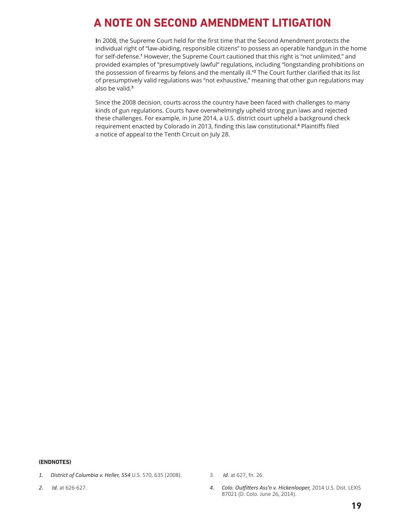# **A NOTE ON SECOND AMENDMENT LITIGATION**

**I**n 2008, the Supreme Court held for the first time that the Second Amendment protects the individual right of "law-abiding, responsible citizens" to possess an operable handgun in the home for self-defense.**<sup>1</sup>** However, the Supreme Court cautioned that this right is "not unlimited," and provided examples of "presumptively lawful" regulations, including "longstanding prohibitions on the possession of firearms by felons and the mentally ill."**<sup>2</sup>** The Court further clarified that its list of presumptively valid regulations was "not exhaustive," meaning that other gun regulations may also be valid.**<sup>3</sup>**

Since the 2008 decision, courts across the country have been faced with challenges to many kinds of gun regulations. Courts have overwhelmingly upheld strong gun laws and rejected these challenges. For example, in June 2014, a U.S. district court upheld a background check requirement enacted by Colorado in 2013, finding this law constitutional.**<sup>4</sup>** Plaintiffs filed a notice of appeal to the Tenth Circuit on July 28.

#### **(ENDNOTES)**

- *1. District of Columbia v. Heller, 554* U.S. 570, 635 (2008).
- *2. Id.* at 626-627.
- 3. *Id.* at 627, fn. 26.
- *4. Colo. Outfitters Ass'n v. Hickenlooper,* 2014 U.S. Dist. LEXIS 87021 (D. Colo. June 26, 2014).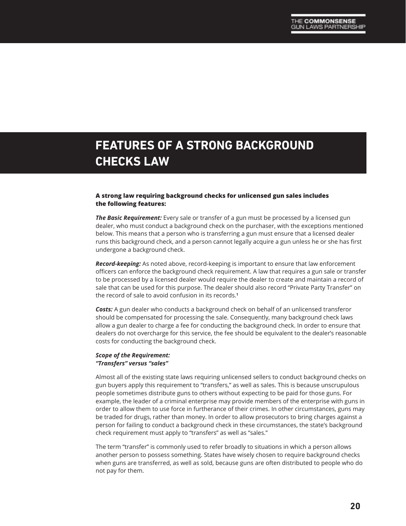# **FEATURES OF A STRONG BACKGROUND CHECKS LAW**

#### **A strong law requiring background checks for unlicensed gun sales includes the following features:**

*The Basic Requirement:* Every sale or transfer of a gun must be processed by a licensed gun dealer, who must conduct a background check on the purchaser, with the exceptions mentioned below. This means that a person who is transferring a gun must ensure that a licensed dealer runs this background check, and a person cannot legally acquire a gun unless he or she has first undergone a background check.

*Record-keeping:* As noted above, record-keeping is important to ensure that law enforcement officers can enforce the background check requirement. A law that requires a gun sale or transfer to be processed by a licensed dealer would require the dealer to create and maintain a record of sale that can be used for this purpose. The dealer should also record "Private Party Transfer" on the record of sale to avoid confusion in its records.**<sup>1</sup>**

*Costs:* A gun dealer who conducts a background check on behalf of an unlicensed transferor should be compensated for processing the sale. Consequently, many background check laws allow a gun dealer to charge a fee for conducting the background check. In order to ensure that dealers do not overcharge for this service, the fee should be equivalent to the dealer's reasonable costs for conducting the background check.

#### *Scope of the Requirement: "Transfers" versus "sales"*

Almost all of the existing state laws requiring unlicensed sellers to conduct background checks on gun buyers apply this requirement to "transfers," as well as sales. This is because unscrupulous people sometimes distribute guns to others without expecting to be paid for those guns. For example, the leader of a criminal enterprise may provide members of the enterprise with guns in order to allow them to use force in furtherance of their crimes. In other circumstances, guns may be traded for drugs, rather than money. In order to allow prosecutors to bring charges against a person for failing to conduct a background check in these circumstances, the state's background check requirement must apply to "transfers" as well as "sales."

The term "transfer" is commonly used to refer broadly to situations in which a person allows another person to possess something. States have wisely chosen to require background checks when guns are transferred, as well as sold, because guns are often distributed to people who do not pay for them.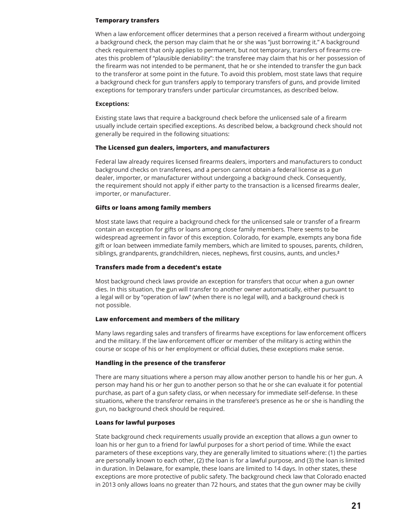#### **Temporary transfers**

When a law enforcement officer determines that a person received a firearm without undergoing a background check, the person may claim that he or she was "just borrowing it." A background check requirement that only applies to permanent, but not temporary, transfers of firearms creates this problem of "plausible deniability": the transferee may claim that his or her possession of the firearm was not intended to be permanent, that he or she intended to transfer the gun back to the transferor at some point in the future. To avoid this problem, most state laws that require a background check for gun transfers apply to temporary transfers of guns, and provide limited exceptions for temporary transfers under particular circumstances, as described below.

#### **Exceptions:**

Existing state laws that require a background check before the unlicensed sale of a firearm usually include certain specified exceptions. As described below, a background check should not generally be required in the following situations:

#### **The Licensed gun dealers, importers, and manufacturers**

Federal law already requires licensed firearms dealers, importers and manufacturers to conduct background checks on transferees, and a person cannot obtain a federal license as a gun dealer, importer, or manufacturer without undergoing a background check. Consequently, the requirement should not apply if either party to the transaction is a licensed firearms dealer, importer, or manufacturer.

#### **Gifts or loans among family members**

Most state laws that require a background check for the unlicensed sale or transfer of a firearm contain an exception for gifts or loans among close family members. There seems to be widespread agreement in favor of this exception. Colorado, for example, exempts any bona fide gift or loan between immediate family members, which are limited to spouses, parents, children, siblings, grandparents, grandchildren, nieces, nephews, first cousins, aunts, and uncles.**<sup>2</sup>**

#### **Transfers made from a decedent's estate**

Most background check laws provide an exception for transfers that occur when a gun owner dies. In this situation, the gun will transfer to another owner automatically, either pursuant to a legal will or by "operation of law" (when there is no legal will), and a background check is not possible.

#### **Law enforcement and members of the military**

Many laws regarding sales and transfers of firearms have exceptions for law enforcement officers and the military. If the law enforcement officer or member of the military is acting within the course or scope of his or her employment or official duties, these exceptions make sense.

#### **Handling in the presence of the transferor**

There are many situations where a person may allow another person to handle his or her gun. A person may hand his or her gun to another person so that he or she can evaluate it for potential purchase, as part of a gun safety class, or when necessary for immediate self-defense. In these situations, where the transferor remains in the transferee's presence as he or she is handling the gun, no background check should be required.

#### **Loans for lawful purposes**

State background check requirements usually provide an exception that allows a gun owner to loan his or her gun to a friend for lawful purposes for a short period of time. While the exact parameters of these exceptions vary, they are generally limited to situations where: (1) the parties are personally known to each other, (2) the loan is for a lawful purpose, and (3) the loan is limited in duration. In Delaware, for example, these loans are limited to 14 days. In other states, these exceptions are more protective of public safety. The background check law that Colorado enacted in 2013 only allows loans no greater than 72 hours, and states that the gun owner may be civilly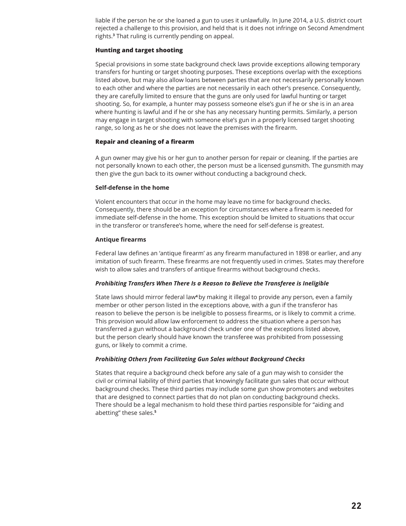liable if the person he or she loaned a gun to uses it unlawfully. In June 2014, a U.S. district court rejected a challenge to this provision, and held that is it does not infringe on Second Amendment rights.**<sup>3</sup>** That ruling is currently pending on appeal.

#### **Hunting and target shooting**

Special provisions in some state background check laws provide exceptions allowing temporary transfers for hunting or target shooting purposes. These exceptions overlap with the exceptions listed above, but may also allow loans between parties that are not necessarily personally known to each other and where the parties are not necessarily in each other's presence. Consequently, they are carefully limited to ensure that the guns are only used for lawful hunting or target shooting. So, for example, a hunter may possess someone else's gun if he or she is in an area where hunting is lawful and if he or she has any necessary hunting permits. Similarly, a person may engage in target shooting with someone else's gun in a properly licensed target shooting range, so long as he or she does not leave the premises with the firearm.

#### **Repair and cleaning of a firearm**

A gun owner may give his or her gun to another person for repair or cleaning. If the parties are not personally known to each other, the person must be a licensed gunsmith. The gunsmith may then give the gun back to its owner without conducting a background check.

#### **Self-defense in the home**

Violent encounters that occur in the home may leave no time for background checks. Consequently, there should be an exception for circumstances where a firearm is needed for immediate self-defense in the home. This exception should be limited to situations that occur in the transferor or transferee's home, where the need for self-defense is greatest.

#### **Antique firearms**

Federal law defines an 'antique firearm' as any firearm manufactured in 1898 or earlier, and any imitation of such firearm. These firearms are not frequently used in crimes. States may therefore wish to allow sales and transfers of antique firearms without background checks.

#### *Prohibiting Transfers When There Is a Reason to Believe the Transferee is Ineligible*

State laws should mirror federal law**4**by making it illegal to provide any person, even a family member or other person listed in the exceptions above, with a gun if the transferor has reason to believe the person is be ineligible to possess firearms, or is likely to commit a crime. This provision would allow law enforcement to address the situation where a person has transferred a gun without a background check under one of the exceptions listed above, but the person clearly should have known the transferee was prohibited from possessing guns, or likely to commit a crime.

#### *Prohibiting Others from Facilitating Gun Sales without Background Checks*

States that require a background check before any sale of a gun may wish to consider the civil or criminal liability of third parties that knowingly facilitate gun sales that occur without background checks. These third parties may include some gun show promoters and websites that are designed to connect parties that do not plan on conducting background checks. There should be a legal mechanism to hold these third parties responsible for "aiding and abetting" these sales.**<sup>5</sup>**